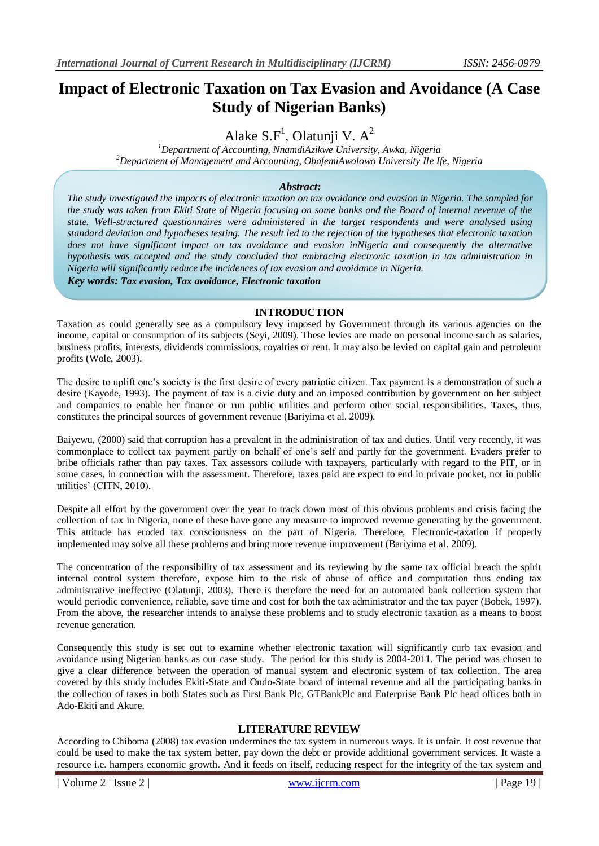# **Impact of Electronic Taxation on Tax Evasion and Avoidance (A Case Study of Nigerian Banks)**

Alake  $S.F^1$ , Olatunji V.  $A^2$ 

*<sup>1</sup>Department of Accounting, NnamdiAzikwe University, Awka, Nigeria <sup>2</sup>Department of Management and Accounting, ObafemiAwolowo University Ile Ife, Nigeria*

## *Abstract:*

*The study investigated the impacts of electronic taxation on tax avoidance and evasion in Nigeria. The sampled for the study was taken from Ekiti State of Nigeria focusing on some banks and the Board of internal revenue of the state. Well-structured questionnaires were administered in the target respondents and were analysed using standard deviation and hypotheses testing. The result led to the rejection of the hypotheses that electronic taxation does not have significant impact on tax avoidance and evasion inNigeria and consequently the alternative hypothesis was accepted and the study concluded that embracing electronic taxation in tax administration in Nigeria will significantly reduce the incidences of tax evasion and avoidance in Nigeria.*

*Key words: Tax evasion, Tax avoidance, Electronic taxation* 

## **INTRODUCTION**

Taxation as could generally see as a compulsory levy imposed by Government through its various agencies on the income, capital or consumption of its subjects (Seyi, 2009). These levies are made on personal income such as salaries, business profits, interests, dividends commissions, royalties or rent. It may also be levied on capital gain and petroleum profits (Wole, 2003).

The desire to uplift one's society is the first desire of every patriotic citizen. Tax payment is a demonstration of such a desire (Kayode, 1993). The payment of tax is a civic duty and an imposed contribution by government on her subject and companies to enable her finance or run public utilities and perform other social responsibilities. Taxes, thus, constitutes the principal sources of government revenue (Bariyima et al. 2009).

Baiyewu, (2000) said that corruption has a prevalent in the administration of tax and duties. Until very recently, it was commonplace to collect tax payment partly on behalf of one's self and partly for the government. Evaders prefer to bribe officials rather than pay taxes. Tax assessors collude with taxpayers, particularly with regard to the PIT, or in some cases, in connection with the assessment. Therefore, taxes paid are expect to end in private pocket, not in public utilities' (CITN, 2010).

Despite all effort by the government over the year to track down most of this obvious problems and crisis facing the collection of tax in Nigeria, none of these have gone any measure to improved revenue generating by the government. This attitude has eroded tax consciousness on the part of Nigeria. Therefore, Electronic-taxation if properly implemented may solve all these problems and bring more revenue improvement (Bariyima et al. 2009).

The concentration of the responsibility of tax assessment and its reviewing by the same tax official breach the spirit internal control system therefore, expose him to the risk of abuse of office and computation thus ending tax administrative ineffective (Olatunji, 2003). There is therefore the need for an automated bank collection system that would periodic convenience, reliable, save time and cost for both the tax administrator and the tax payer (Bobek, 1997). From the above, the researcher intends to analyse these problems and to study electronic taxation as a means to boost revenue generation.

Consequently this study is set out to examine whether electronic taxation will significantly curb tax evasion and avoidance using Nigerian banks as our case study. The period for this study is 2004-2011. The period was chosen to give a clear difference between the operation of manual system and electronic system of tax collection. The area covered by this study includes Ekiti-State and Ondo-State board of internal revenue and all the participating banks in the collection of taxes in both States such as First Bank Plc, GTBankPlc and Enterprise Bank Plc head offices both in Ado-Ekiti and Akure.

## **LITERATURE REVIEW**

According to Chiboma (2008) tax evasion undermines the tax system in numerous ways. It is unfair. It cost revenue that could be used to make the tax system better, pay down the debt or provide additional government services. It waste a resource i.e. hampers economic growth. And it feeds on itself, reducing respect for the integrity of the tax system and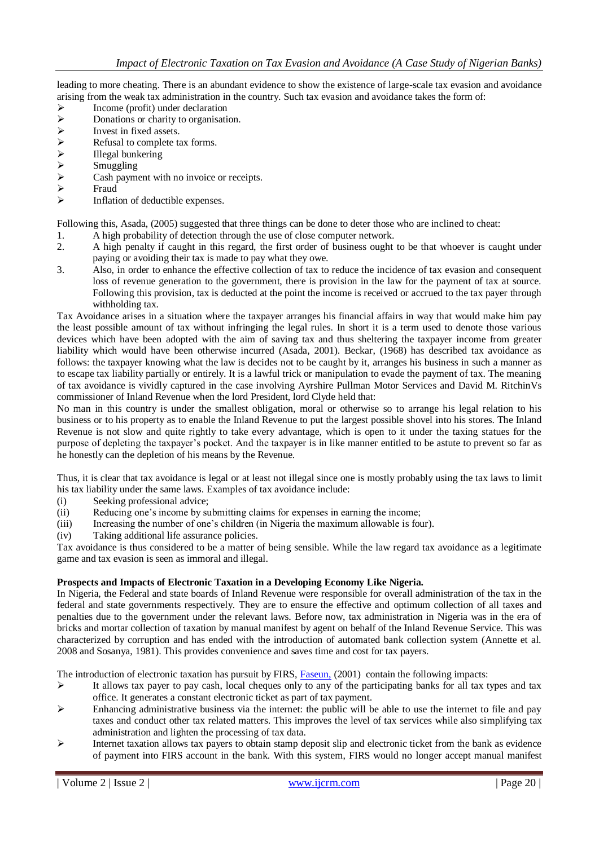leading to more cheating. There is an abundant evidence to show the existence of large-scale tax evasion and avoidance arising from the weak tax administration in the country. Such tax evasion and avoidance takes the form of:

- $\triangleright$  Income (profit) under declaration<br> $\triangleright$  Donations or charity to organisation
- 
- Invest in fixed assets.
- Refusal to complete tax forms.
- Illegal bunkering
- Smuggling
- →<br>
Donations or charity to organisation.<br>
→<br>
Refusal to complete tax forms.<br>
→<br>
Illegal bunkering<br>
→<br>
Smuggling<br>
→<br>
Cash payment with no invoice or recences Cash payment with no invoice or receipts.
- Fraud
- $\triangleright$  Inflation of deductible expenses.

Following this, Asada, (2005) suggested that three things can be done to deter those who are inclined to cheat:

- 1. A high probability of detection through the use of close computer network.
- 2. A high penalty if caught in this regard, the first order of business ought to be that whoever is caught under paying or avoiding their tax is made to pay what they owe.
- 3. Also, in order to enhance the effective collection of tax to reduce the incidence of tax evasion and consequent loss of revenue generation to the government, there is provision in the law for the payment of tax at source. Following this provision, tax is deducted at the point the income is received or accrued to the tax payer through withholding tax.

Tax Avoidance arises in a situation where the taxpayer arranges his financial affairs in way that would make him pay the least possible amount of tax without infringing the legal rules. In short it is a term used to denote those various devices which have been adopted with the aim of saving tax and thus sheltering the taxpayer income from greater liability which would have been otherwise incurred (Asada, 2001). Beckar, (1968) has described tax avoidance as follows: the taxpayer knowing what the law is decides not to be caught by it, arranges his business in such a manner as to escape tax liability partially or entirely. It is a lawful trick or manipulation to evade the payment of tax. The meaning of tax avoidance is vividly captured in the case involving Ayrshire Pullman Motor Services and David M. RitchinVs commissioner of Inland Revenue when the lord President, lord Clyde held that:

No man in this country is under the smallest obligation, moral or otherwise so to arrange his legal relation to his business or to his property as to enable the Inland Revenue to put the largest possible shovel into his stores. The Inland Revenue is not slow and quite rightly to take every advantage, which is open to it under the taxing statues for the purpose of depleting the taxpayer's pocket. And the taxpayer is in like manner entitled to be astute to prevent so far as he honestly can the depletion of his means by the Revenue.

Thus, it is clear that tax avoidance is legal or at least not illegal since one is mostly probably using the tax laws to limit his tax liability under the same laws. Examples of tax avoidance include:

- (i) Seeking professional advice;
- (ii) Reducing one's income by submitting claims for expenses in earning the income;
- (iii) Increasing the number of one's children (in Nigeria the maximum allowable is four).
- (iv) Taking additional life assurance policies.

Tax avoidance is thus considered to be a matter of being sensible. While the law regard tax avoidance as a legitimate game and tax evasion is seen as immoral and illegal.

#### **Prospects and Impacts of Electronic Taxation in a Developing Economy Like Nigeria.**

In Nigeria, the Federal and state boards of Inland Revenue were responsible for overall administration of the tax in the federal and state governments respectively. They are to ensure the effective and optimum collection of all taxes and penalties due to the government under the relevant laws. Before now, tax administration in Nigeria was in the era of bricks and mortar collection of taxation by manual manifest by agent on behalf of the Inland Revenue Service. This was characterized by corruption and has ended with the introduction of automated bank collection system (Annette et al. 2008 and Sosanya, 1981). This provides convenience and saves time and cost for tax payers.

The introduction of electronic taxation has pursuit by FIRS, [Faseun,](http://www.firs.gov.ng/) (2001) contain the following impacts:

- $\triangleright$  It allows tax payer to pay cash, local cheques only to any of the participating banks for all tax types and tax office. It generates a constant electronic ticket as part of tax payment.
- $\triangleright$  Enhancing administrative business via the internet: the public will be able to use the internet to file and pay taxes and conduct other tax related matters. This improves the level of tax services while also simplifying tax administration and lighten the processing of tax data.
- Internet taxation allows tax payers to obtain stamp deposit slip and electronic ticket from the bank as evidence of payment into FIRS account in the bank. With this system, FIRS would no longer accept manual manifest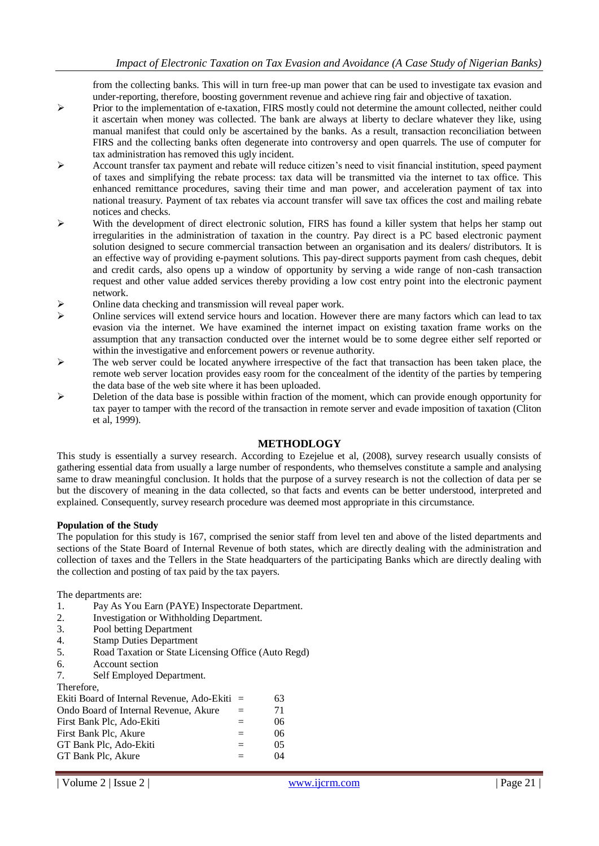from the collecting banks. This will in turn free-up man power that can be used to investigate tax evasion and under-reporting, therefore, boosting government revenue and achieve ring fair and objective of taxation.

- $\triangleright$  Prior to the implementation of e-taxation, FIRS mostly could not determine the amount collected, neither could it ascertain when money was collected. The bank are always at liberty to declare whatever they like, using manual manifest that could only be ascertained by the banks. As a result, transaction reconciliation between FIRS and the collecting banks often degenerate into controversy and open quarrels. The use of computer for tax administration has removed this ugly incident.
- Account transfer tax payment and rebate will reduce citizen's need to visit financial institution, speed payment of taxes and simplifying the rebate process: tax data will be transmitted via the internet to tax office. This enhanced remittance procedures, saving their time and man power, and acceleration payment of tax into national treasury. Payment of tax rebates via account transfer will save tax offices the cost and mailing rebate notices and checks.
- $\triangleright$  With the development of direct electronic solution, FIRS has found a killer system that helps her stamp out irregularities in the administration of taxation in the country. Pay direct is a PC based electronic payment solution designed to secure commercial transaction between an organisation and its dealers/ distributors. It is an effective way of providing e-payment solutions. This pay-direct supports payment from cash cheques, debit and credit cards, also opens up a window of opportunity by serving a wide range of non-cash transaction request and other value added services thereby providing a low cost entry point into the electronic payment network.
- Online data checking and transmission will reveal paper work.
- $\triangleright$  Online services will extend service hours and location. However there are many factors which can lead to tax evasion via the internet. We have examined the internet impact on existing taxation frame works on the assumption that any transaction conducted over the internet would be to some degree either self reported or within the investigative and enforcement powers or revenue authority.
- $\triangleright$  The web server could be located anywhere irrespective of the fact that transaction has been taken place, the remote web server location provides easy room for the concealment of the identity of the parties by tempering the data base of the web site where it has been uploaded.
- $\triangleright$  Deletion of the data base is possible within fraction of the moment, which can provide enough opportunity for tax payer to tamper with the record of the transaction in remote server and evade imposition of taxation (Cliton et al, 1999).

## **METHODLOGY**

This study is essentially a survey research. According to Ezejelue et al, (2008), survey research usually consists of gathering essential data from usually a large number of respondents, who themselves constitute a sample and analysing same to draw meaningful conclusion. It holds that the purpose of a survey research is not the collection of data per se but the discovery of meaning in the data collected, so that facts and events can be better understood, interpreted and explained. Consequently, survey research procedure was deemed most appropriate in this circumstance.

#### **Population of the Study**

The population for this study is 167, comprised the senior staff from level ten and above of the listed departments and sections of the State Board of Internal Revenue of both states, which are directly dealing with the administration and collection of taxes and the Tellers in the State headquarters of the participating Banks which are directly dealing with the collection and posting of tax paid by the tax payers.

The departments are:

- 1. Pay As You Earn (PAYE) Inspectorate Department.
- 2. Investigation or Withholding Department.
- 3. Pool betting Department
- 4. Stamp Duties Department
- 5. Road Taxation or State Licensing Office (Auto Regd)
- 6. Account section
- 7. Self Employed Department.

Therefore,

| 111010101                                      |     |    |
|------------------------------------------------|-----|----|
| Ekiti Board of Internal Revenue, Ado-Ekiti $=$ |     | 63 |
| Ondo Board of Internal Revenue, Akure          | $=$ | 71 |
| First Bank Plc, Ado-Ekiti                      |     | 06 |
| First Bank Plc. Akure                          | $=$ | 06 |
| GT Bank Plc, Ado-Ekiti                         |     | 05 |
| GT Bank Plc, Akure                             |     | 04 |
|                                                |     |    |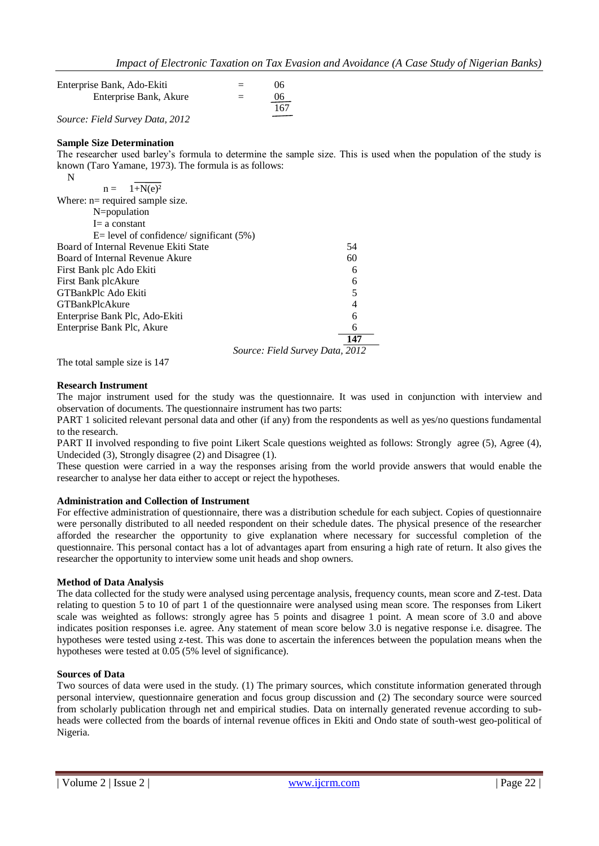| Enterprise Bank, Ado-Ekiti      | $=$ | 06  |
|---------------------------------|-----|-----|
| Enterprise Bank, Akure          | $=$ | 06  |
|                                 |     | 167 |
| Source: Field Survey Data, 2012 |     |     |

### **Sample Size Determination**

The researcher used barley's formula to determine the sample size. This is used when the population of the study is known (Taro Yamane, 1973). The formula is as follows:

| N                                             |     |
|-----------------------------------------------|-----|
| $n = 1 + N(e)^2$                              |     |
| Where: $n = required sample size$ .           |     |
| N=population                                  |     |
| $I = a constant$                              |     |
| $E =$ level of confidence/ significant $(5%)$ |     |
| Board of Internal Revenue Ekiti State         | 54  |
| Board of Internal Revenue Akure               | 60  |
| First Bank plc Ado Ekiti                      | 6   |
| First Bank plcAkure                           | 6   |
| GTBankPlc Ado Ekiti                           | 5   |
| <b>GTBankPlcAkure</b>                         | 4   |
| Enterprise Bank Plc, Ado-Ekiti                | 6   |
| Enterprise Bank Plc, Akure                    | 6   |
|                                               | 147 |
| Source: Field Survey Data, 2012               |     |

The total sample size is 147

#### **Research Instrument**

The major instrument used for the study was the questionnaire. It was used in conjunction with interview and observation of documents. The questionnaire instrument has two parts:

PART 1 solicited relevant personal data and other (if any) from the respondents as well as yes/no questions fundamental to the research.

PART II involved responding to five point Likert Scale questions weighted as follows: Strongly agree (5), Agree (4), Undecided (3), Strongly disagree (2) and Disagree (1).

These question were carried in a way the responses arising from the world provide answers that would enable the researcher to analyse her data either to accept or reject the hypotheses.

#### **Administration and Collection of Instrument**

For effective administration of questionnaire, there was a distribution schedule for each subject. Copies of questionnaire were personally distributed to all needed respondent on their schedule dates. The physical presence of the researcher afforded the researcher the opportunity to give explanation where necessary for successful completion of the questionnaire. This personal contact has a lot of advantages apart from ensuring a high rate of return. It also gives the researcher the opportunity to interview some unit heads and shop owners.

#### **Method of Data Analysis**

The data collected for the study were analysed using percentage analysis, frequency counts, mean score and Z-test. Data relating to question 5 to 10 of part 1 of the questionnaire were analysed using mean score. The responses from Likert scale was weighted as follows: strongly agree has 5 points and disagree 1 point. A mean score of 3.0 and above indicates position responses i.e. agree. Any statement of mean score below 3.0 is negative response i.e. disagree. The hypotheses were tested using z-test. This was done to ascertain the inferences between the population means when the hypotheses were tested at 0.05 (5% level of significance).

#### **Sources of Data**

Two sources of data were used in the study. (1) The primary sources, which constitute information generated through personal interview, questionnaire generation and focus group discussion and (2) The secondary source were sourced from scholarly publication through net and empirical studies. Data on internally generated revenue according to subheads were collected from the boards of internal revenue offices in Ekiti and Ondo state of south-west geo-political of Nigeria.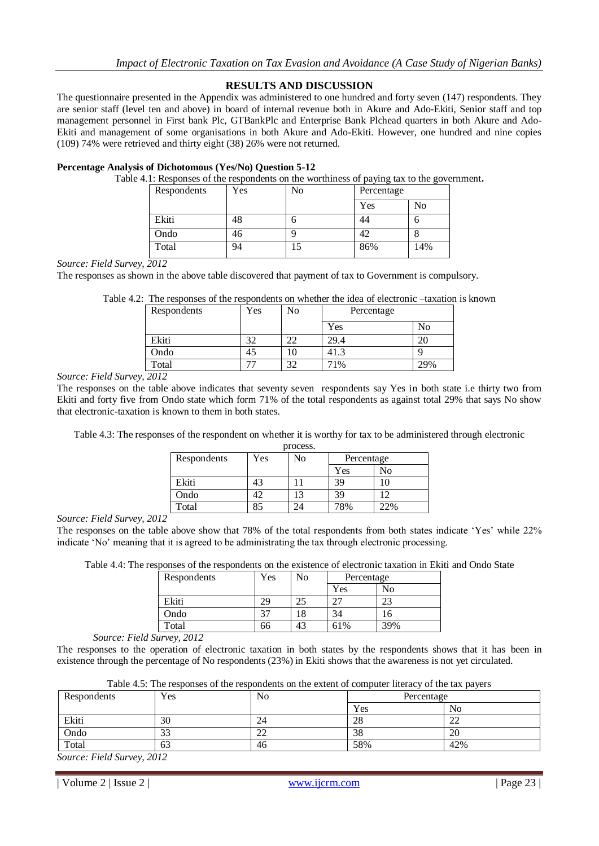## **RESULTS AND DISCUSSION**

The questionnaire presented in the Appendix was administered to one hundred and forty seven (147) respondents. They are senior staff (level ten and above) in board of internal revenue both in Akure and Ado-Ekiti, Senior staff and top management personnel in First bank Plc, GTBankPlc and Enterprise Bank Plchead quarters in both Akure and Ado-Ekiti and management of some organisations in both Akure and Ado-Ekiti. However, one hundred and nine copies (109) 74% were retrieved and thirty eight (38) 26% were not returned.

#### **Percentage Analysis of Dichotomous (Yes/No) Question 5-12**

Table 4.1: Responses of the respondents on the worthiness of paying tax to the government**.**

| Respondents | Yes | No | .<br>Percentage | ັ   |
|-------------|-----|----|-----------------|-----|
|             |     |    | Yes             | No  |
| Ekiti       | 48  | υ  | 44              |     |
| Ondo        | 46  |    | 42              |     |
| Total       | 94  | 15 | 86%             | 14% |

*Source: Field Survey, 2012*

The responses as shown in the above table discovered that payment of tax to Government is compulsory.

Table 4.2: The responses of the respondents on whether the idea of electronic –taxation is known

| Respondents | Yes | No            | Percentage |     |
|-------------|-----|---------------|------------|-----|
|             |     |               | Yes        | No  |
| Ekiti       | ົ   | າາ            | 29.4       |     |
| Ondo        |     |               | 41.3       |     |
| Total       |     | $\mathcal{L}$ | 71%        | 29% |

*Source: Field Survey, 2012*

The responses on the table above indicates that seventy seven respondents say Yes in both state i.e thirty two from Ekiti and forty five from Ondo state which form 71% of the total respondents as against total 29% that says No show that electronic-taxation is known to them in both states.

Table 4.3: The responses of the respondent on whether it is worthy for tax to be administered through electronic

| process.    |     |    |            |     |  |
|-------------|-----|----|------------|-----|--|
| Respondents | Yes | No | Percentage |     |  |
|             |     |    | Yes        | No  |  |
| Ekiti       | 43  |    | 39         | 10  |  |
| Ondo        |     | 13 | 39         | 12  |  |
| Total       |     |    | 78%        | 22% |  |

*Source: Field Survey, 2012*

The responses on the table above show that 78% of the total respondents from both states indicate 'Yes' while 22% indicate 'No' meaning that it is agreed to be administrating the tax through electronic processing.

Table 4.4: The responses of the respondents on the existence of electronic taxation in Ekiti and Ondo State

| Respondents | Yes | No | Percentage |     |
|-------------|-----|----|------------|-----|
|             |     |    | Yes        | No  |
| Ekiti       |     |    |            | ΩΩ  |
| Ondo        |     | ۱8 |            |     |
| Total       | 66  | 43 | 61%        | 39% |

*Source: Field Survey, 2012*

The responses to the operation of electronic taxation in both states by the respondents shows that it has been in existence through the percentage of No respondents (23%) in Ekiti shows that the awareness is not yet circulated.

| Table 4.5: The responses of the respondents on the extent of computer literacy of the tax payers |  |  |
|--------------------------------------------------------------------------------------------------|--|--|
|                                                                                                  |  |  |

| Respondents | Yes      | No       |     | $\overline{\phantom{a}}$<br>Percentage |  |
|-------------|----------|----------|-----|----------------------------------------|--|
|             |          |          | Yes | No                                     |  |
| Ekiti       | 30       | 24       | 28  | $\sim$<br>∠∠                           |  |
| Ondo        | ົາ<br>33 | nn<br>∠∠ | 38  | 20                                     |  |
| Total       | 63       | 46       | 58% | 42%                                    |  |

*Source: Field Survey, 2012*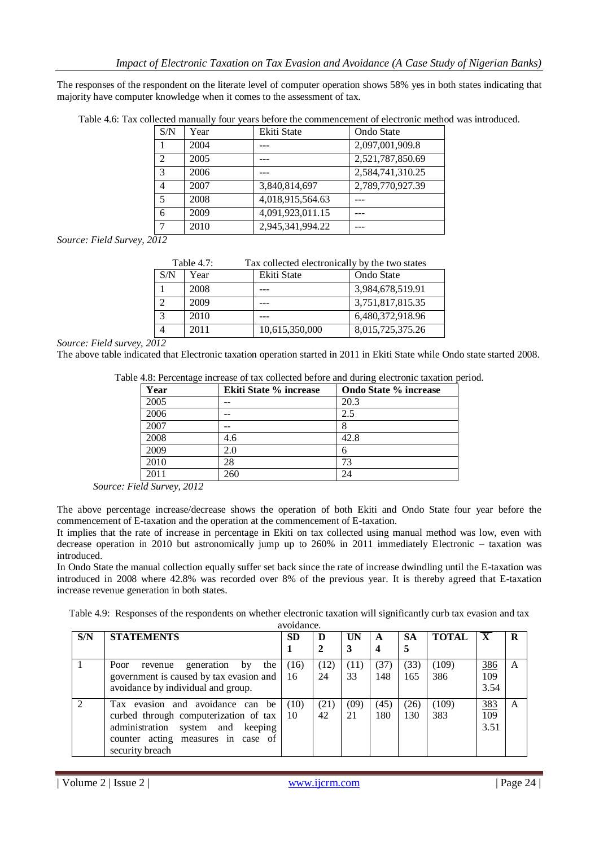The responses of the respondent on the literate level of computer operation shows 58% yes in both states indicating that majority have computer knowledge when it comes to the assessment of tax.

| S/N | Year | Ekiti State      | Ondo State       |
|-----|------|------------------|------------------|
|     | 2004 |                  | 2,097,001,909.8  |
| 2   | 2005 |                  | 2,521,787,850.69 |
| 3   | 2006 |                  | 2,584,741,310.25 |
| 4   | 2007 | 3,840,814,697    | 2,789,770,927.39 |
| .5  | 2008 | 4,018,915,564.63 |                  |
| 6   | 2009 | 4,091,923,011.15 |                  |
|     | 2010 | 2,945,341,994.22 |                  |

Table 4.6: Tax collected manually four years before the commencement of electronic method was introduced.

*Source: Field Survey, 2012*

| Table $4.7$ : |      | Tax collected electronically by the two states |                  |  |  |
|---------------|------|------------------------------------------------|------------------|--|--|
| S/N           | Year | Ekiti State                                    | Ondo State       |  |  |
|               | 2008 |                                                | 3,984,678,519.91 |  |  |
| ◠             | 2009 |                                                | 3,751,817,815.35 |  |  |
| 3             | 2010 |                                                | 6,480,372,918.96 |  |  |
|               | 2011 | 10,615,350,000                                 | 8,015,725,375.26 |  |  |

*Source: Field survey, 2012* 

The above table indicated that Electronic taxation operation started in 2011 in Ekiti State while Ondo state started 2008.

| Table 4.8: Percentage increase of tax collected before and during electronic taxation period. |  |  |  |  |
|-----------------------------------------------------------------------------------------------|--|--|--|--|
|                                                                                               |  |  |  |  |

| Year | <b>Ekiti State % increase</b> | <b>Ondo State % increase</b> |  |  |  |
|------|-------------------------------|------------------------------|--|--|--|
| 2005 |                               | 20.3                         |  |  |  |
| 2006 |                               | 2.5                          |  |  |  |
| 2007 |                               |                              |  |  |  |
| 2008 | 4.6                           | 42.8                         |  |  |  |
| 2009 | 2.0                           | 6                            |  |  |  |
| 2010 | 28                            | 73                           |  |  |  |
| 2011 | 260                           | 24                           |  |  |  |

*Source: Field Survey, 2012*

The above percentage increase/decrease shows the operation of both Ekiti and Ondo State four year before the commencement of E-taxation and the operation at the commencement of E-taxation.

It implies that the rate of increase in percentage in Ekiti on tax collected using manual method was low, even with decrease operation in 2010 but astronomically jump up to 260% in 2011 immediately Electronic – taxation was introduced.

In Ondo State the manual collection equally suffer set back since the rate of increase dwindling until the E-taxation was introduced in 2008 where 42.8% was recorded over 8% of the previous year. It is thereby agreed that E-taxation increase revenue generation in both states.

Table 4.9: Responses of the respondents on whether electronic taxation will significantly curb tax evasion and tax

| avoidance. |                                                                                                                                                                            |            |            |            |             |                |              |                         |   |
|------------|----------------------------------------------------------------------------------------------------------------------------------------------------------------------------|------------|------------|------------|-------------|----------------|--------------|-------------------------|---|
| S/N        | <b>STATEMENTS</b>                                                                                                                                                          | <b>SD</b>  | D          | <b>UN</b>  | A           | <b>SA</b><br>5 | <b>TOTAL</b> | $\overline{\mathbf{X}}$ | R |
|            | Poor<br>the<br>generation<br>by<br>revenue<br>government is caused by tax evasion and<br>avoidance by individual and group.                                                | (16)<br>16 | (12)<br>24 | (11)<br>33 | (37)<br>148 | (33)<br>165    | (109)<br>386 | 386<br>109<br>3.54      | A |
|            | Tax evasion and avoidance can<br>be<br>curbed through computerization of tax<br>administration system and keeping<br>counter acting measures in case of<br>security breach | (10)<br>10 | (21)<br>42 | (09)<br>21 | (45)<br>180 | (26)<br>130    | (109)<br>383 | 383<br>109<br>3.51      | A |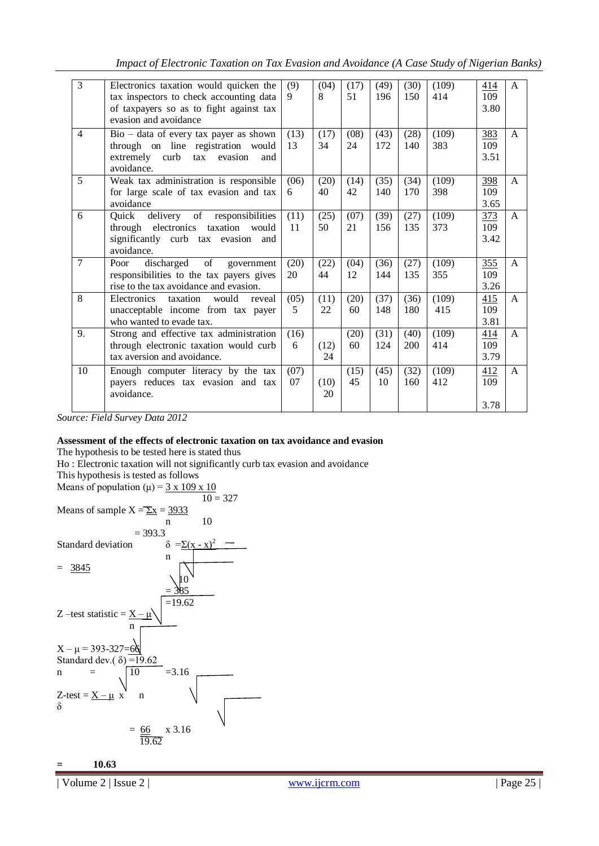*Impact of Electronic Taxation on Tax Evasion and Avoidance (A Case Study of Nigerian Banks)*

| $\overline{3}$ | Electronics taxation would quicken the<br>tax inspectors to check accounting data<br>of taxpayers so as to fight against tax         | (9)<br>9   | (04)<br>8  | (17)<br>51 | (49)<br>196 | (30)<br>150 | (109)<br>414 | 414<br>109<br>3.80 | $\mathsf{A}$ |
|----------------|--------------------------------------------------------------------------------------------------------------------------------------|------------|------------|------------|-------------|-------------|--------------|--------------------|--------------|
|                | evasion and avoidance                                                                                                                |            |            |            |             |             |              |                    |              |
| $\overline{4}$ | $Bio - data of every tax payer as shown$<br>through on line registration would<br>extremely curb tax<br>evasion<br>and<br>avoidance. | (13)<br>13 | (17)<br>34 | (08)<br>24 | (43)<br>172 | (28)<br>140 | (109)<br>383 | 383<br>109<br>3.51 | A            |
| 5              | Weak tax administration is responsible<br>for large scale of tax evasion and tax<br>avoidance                                        | (06)<br>6  | (20)<br>40 | (14)<br>42 | (35)<br>140 | (34)<br>170 | (109)<br>398 | 398<br>109<br>3.65 | $\mathsf{A}$ |
| 6              | Quick delivery of responsibilities<br>through electronics taxation<br>would<br>significantly curb tax evasion<br>and<br>avoidance.   | (11)<br>11 | (25)<br>50 | (07)<br>21 | (39)<br>156 | (27)<br>135 | (109)<br>373 | 373<br>109<br>3.42 | A            |
| $\overline{7}$ | of<br>discharged<br>Poor<br>government<br>responsibilities to the tax payers gives<br>rise to the tax avoidance and evasion.         | (20)<br>20 | (22)<br>44 | (04)<br>12 | (36)<br>144 | (27)<br>135 | (109)<br>355 | 355<br>109<br>3.26 | $\mathsf{A}$ |
| 8              | Electronics<br>taxation<br>would<br>reveal<br>unacceptable income from tax payer<br>who wanted to evade tax.                         | (05)<br>5  | (11)<br>22 | (20)<br>60 | (37)<br>148 | (36)<br>180 | (109)<br>415 | 415<br>109<br>3.81 | $\mathsf{A}$ |
| 9.             | Strong and effective tax administration<br>through electronic taxation would curb<br>tax aversion and avoidance.                     | (16)<br>6  | (12)<br>24 | (20)<br>60 | (31)<br>124 | (40)<br>200 | (109)<br>414 | 414<br>109<br>3.79 | $\mathsf{A}$ |
| 10             | Enough computer literacy by the tax<br>payers reduces tax evasion and tax<br>avoidance.                                              | (07)<br>07 | (10)<br>20 | (15)<br>45 | (45)<br>10  | (32)<br>160 | (109)<br>412 | 412<br>109         | $\mathsf{A}$ |
|                |                                                                                                                                      |            |            |            |             |             |              | 3.78               |              |

*Source: Field Survey Data 2012*

## **Assessment of the effects of electronic taxation on tax avoidance and evasion**

The hypothesis to be tested here is stated thus

Ho : Electronic taxation will not significantly curb tax evasion and avoidance

This hypothesis is tested as follows



**= 10.63**